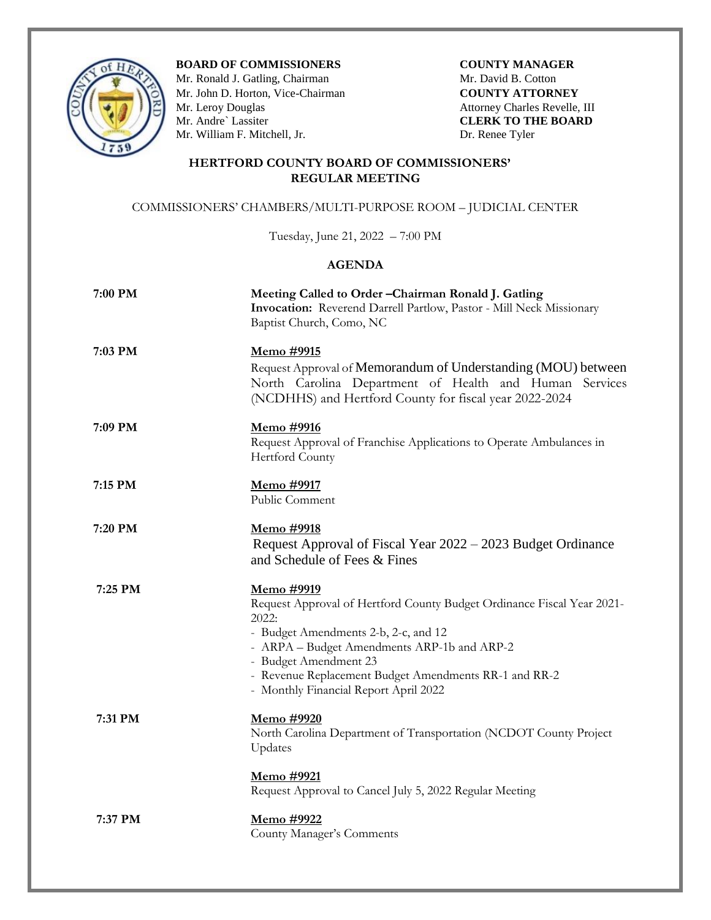

**BOARD OF COMMISSIONERS COUNTY MANAGER** 

Mr. Ronald J. Gatling, ChairmanMr. David B. Cotton Mr. John D. Horton, Vice-Chairman **COUNTY ATTORNEY** Mr. Leroy Douglas Attorney Charles Revelle, III<br>
Mr. Andre` Lassiter CLERK TO THE BOARD Mr. William F. Mitchell, Jr. Dr. Renee Tyler

**CLERK TO THE BOARD** 

## **HERTFORD COUNTY BOARD OF COMMISSIONERS' REGULAR MEETING**

## COMMISSIONERS' CHAMBERS/MULTI-PURPOSE ROOM – JUDICIAL CENTER

Tuesday, June 21, 2022 – 7:00 PM

## **AGENDA**

| 7:00 PM | Meeting Called to Order-Chairman Ronald J. Gatling<br>Invocation: Reverend Darrell Partlow, Pastor - Mill Neck Missionary<br>Baptist Church, Como, NC                                                                                                                                                                  |
|---------|------------------------------------------------------------------------------------------------------------------------------------------------------------------------------------------------------------------------------------------------------------------------------------------------------------------------|
| 7:03 PM | Memo #9915<br>Request Approval of Memorandum of Understanding (MOU) between<br>North Carolina Department of Health and Human Services<br>(NCDHHS) and Hertford County for fiscal year 2022-2024                                                                                                                        |
| 7:09 PM | Memo #9916<br>Request Approval of Franchise Applications to Operate Ambulances in<br>Hertford County                                                                                                                                                                                                                   |
| 7:15 PM | Memo #9917<br>Public Comment                                                                                                                                                                                                                                                                                           |
| 7:20 PM | Memo #9918<br>Request Approval of Fiscal Year 2022 - 2023 Budget Ordinance<br>and Schedule of Fees & Fines                                                                                                                                                                                                             |
| 7:25 PM | <u>Memo #9919</u><br>Request Approval of Hertford County Budget Ordinance Fiscal Year 2021-<br>2022:<br>- Budget Amendments 2-b, 2-c, and 12<br>- ARPA - Budget Amendments ARP-1b and ARP-2<br>- Budget Amendment 23<br>- Revenue Replacement Budget Amendments RR-1 and RR-2<br>- Monthly Financial Report April 2022 |
| 7:31 PM | Memo #9920<br>North Carolina Department of Transportation (NCDOT County Project<br>Updates                                                                                                                                                                                                                             |
|         | <u>Memo</u> #9921<br>Request Approval to Cancel July 5, 2022 Regular Meeting                                                                                                                                                                                                                                           |
| 7:37 PM | Memo #9922<br>County Manager's Comments                                                                                                                                                                                                                                                                                |